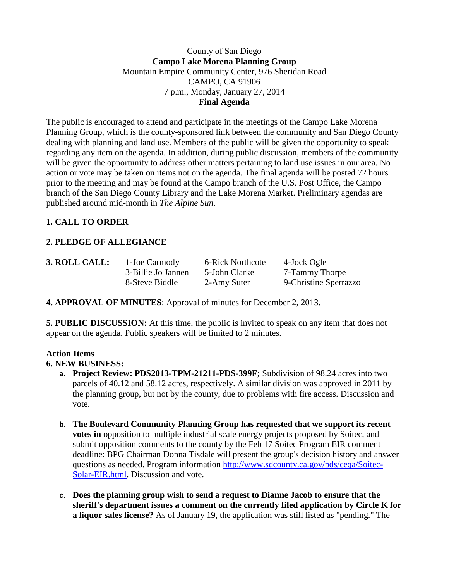#### County of San Diego **Campo Lake Morena Planning Group** Mountain Empire Community Center, 976 Sheridan Road CAMPO, CA 91906 7 p.m., Monday, January 27, 2014 **Final Agenda**

The public is encouraged to attend and participate in the meetings of the Campo Lake Morena Planning Group, which is the county-sponsored link between the community and San Diego County dealing with planning and land use. Members of the public will be given the opportunity to speak regarding any item on the agenda. In addition, during public discussion, members of the community will be given the opportunity to address other matters pertaining to land use issues in our area. No action or vote may be taken on items not on the agenda. The final agenda will be posted 72 hours prior to the meeting and may be found at the Campo branch of the U.S. Post Office, the Campo branch of the San Diego County Library and the Lake Morena Market. Preliminary agendas are published around mid-month in *The Alpine Sun*.

# **1. CALL TO ORDER**

# **2. PLEDGE OF ALLEGIANCE**

| <b>3. ROLL CALL:</b> | $\sim$ 1-. |
|----------------------|------------|
|                      | $3-$       |
|                      | $Q_{-}$    |

**3. Joe Carmody 6-Rick Northcote 4-Jock Ogle** 

3-Billie Jo Jannen 5-John Clarke 7-Tammy Thorpe 8-Steve Biddle 2-Amy Suter 9-Christine Sperrazzo

**4. APPROVAL OF MINUTES**: Approval of minutes for December 2, 2013.

**5. PUBLIC DISCUSSION:** At this time, the public is invited to speak on any item that does not appear on the agenda. Public speakers will be limited to 2 minutes.

# **Action Items**

## **6. NEW BUSINESS:**

- **a. Project Review: PDS2013-TPM-21211-PDS-399F;** Subdivision of 98.24 acres into two parcels of 40.12 and 58.12 acres, respectively. A similar division was approved in 2011 by the planning group, but not by the county, due to problems with fire access. Discussion and vote.
- **b. The Boulevard Community Planning Group has requested that we support its recent votes in** opposition to multiple industrial scale energy projects proposed by Soitec, and submit opposition comments to the county by the Feb 17 Soitec Program EIR comment deadline: BPG Chairman Donna Tisdale will present the group's decision history and answer questions as needed. Program information [http://www.sdcounty.ca.gov/pds/ceqa/Soitec-](http://www.sdcounty.ca.gov/pds/ceqa/Soitec-Solar-EIR.html)[Solar-EIR.html.](http://www.sdcounty.ca.gov/pds/ceqa/Soitec-Solar-EIR.html) Discussion and vote.
- **c. Does the planning group wish to send a request to Dianne Jacob to ensure that the sheriff's department issues a comment on the currently filed application by Circle K for a liquor sales license?** As of January 19, the application was still listed as "pending." The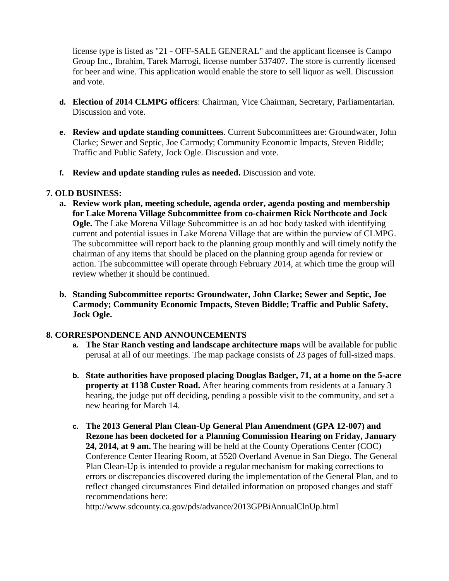license type is listed as "21 - OFF-SALE GENERAL" and the applicant licensee is Campo Group Inc., Ibrahim, Tarek Marrogi, license number 537407. The store is currently licensed for beer and wine. This application would enable the store to sell liquor as well. Discussion and vote.

- **d. Election of 2014 CLMPG officers**: Chairman, Vice Chairman, Secretary, Parliamentarian. Discussion and vote.
- **e. Review and update standing committees**. Current Subcommittees are: Groundwater, John Clarke; Sewer and Septic, Joe Carmody; Community Economic Impacts, Steven Biddle; Traffic and Public Safety, Jock Ogle. Discussion and vote.
- **f. Review and update standing rules as needed.** Discussion and vote.

#### **7. OLD BUSINESS:**

- **a. Review work plan, meeting schedule, agenda order, agenda posting and membership for Lake Morena Village Subcommittee from co-chairmen Rick Northcote and Jock Ogle.** The Lake Morena Village Subcommittee is an ad hoc body tasked with identifying current and potential issues in Lake Morena Village that are within the purview of CLMPG. The subcommittee will report back to the planning group monthly and will timely notify the chairman of any items that should be placed on the planning group agenda for review or action. The subcommittee will operate through February 2014, at which time the group will review whether it should be continued.
- **b. Standing Subcommittee reports: Groundwater, John Clarke; Sewer and Septic, Joe Carmody; Community Economic Impacts, Steven Biddle; Traffic and Public Safety, Jock Ogle.**

## **8. CORRESPONDENCE AND ANNOUNCEMENTS**

- **a. The Star Ranch vesting and landscape architecture maps** will be available for public perusal at all of our meetings. The map package consists of 23 pages of full-sized maps.
- **b. State authorities have proposed placing Douglas Badger, 71, at a home on the 5-acre property at 1138 Custer Road.** After hearing comments from residents at a January 3 hearing, the judge put off deciding, pending a possible visit to the community, and set a new hearing for March 14.
- **c. The 2013 General Plan Clean-Up General Plan Amendment (GPA 12-007) and Rezone has been docketed for a Planning Commission Hearing on Friday, January 24, 2014, at 9 am.** The hearing will be held at the County Operations Center (COC) Conference Center Hearing Room, at 5520 Overland Avenue in San Diego. The General Plan Clean-Up is intended to provide a regular mechanism for making corrections to errors or discrepancies discovered during the implementation of the General Plan, and to reflect changed circumstances Find detailed information on proposed changes and staff recommendations here:

http://www.sdcounty.ca.gov/pds/advance/2013GPBiAnnualClnUp.html